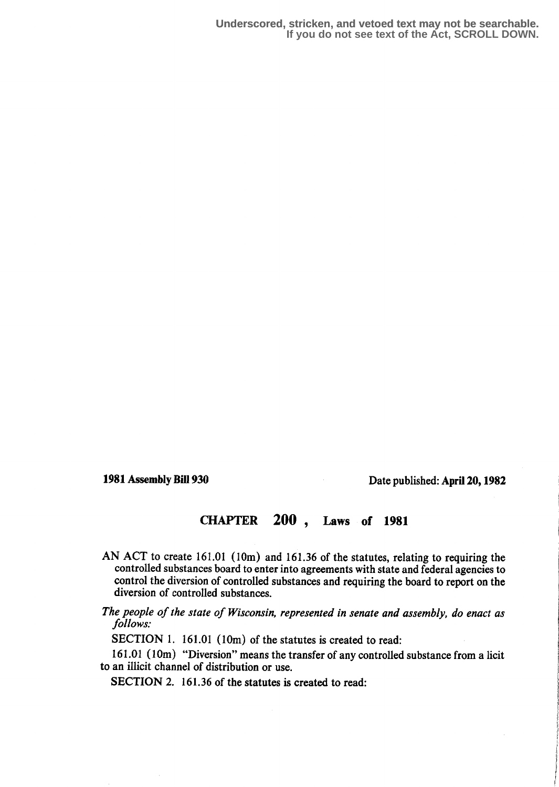1981 Assembly Bill 930 Date published: April 20,1982

## CHAPTER 200 , Laws of 1981

- AN ACT to create 161.01 (10m) and 161.36 of the statutes, relating to requiring the controlled substances board to enter into agreements with state and federal agencies to control the diversion of controlled substances and requiring the board to report on the diversion of controlled substances.
- The people of the state of Wisconsin, represented in senate and assembly, do enact as follows:

SECTION 1. 161.01 (10m) of the statutes is created to read:

161.01 (10m) "Diversion" means the transfer of any controlled substance from a licit to an illicit channel of distribution or use.

SECTION 2. 161.36 of the statutes is created to read: